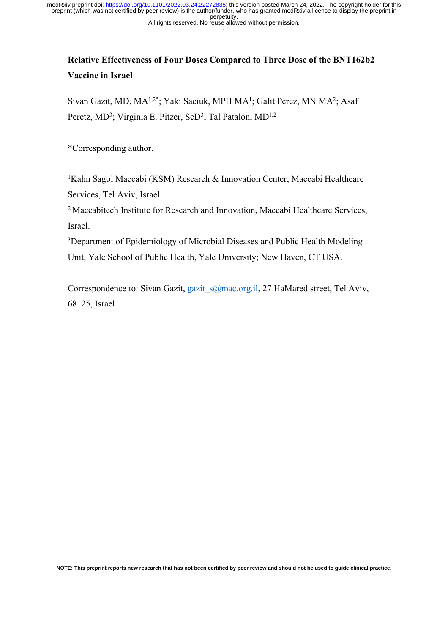All rights reserved. No reuse allowed without permission. perpetuity. preprint (which was not certified by peer review) is the author/funder, who has granted medRxiv a license to display the preprint in medRxiv preprint doi: [https://doi.org/10.1101/2022.03.24.22272835;](https://doi.org/10.1101/2022.03.24.22272835) this version posted March 24, 2022. The copyright holder for this

1

# **Relative Effectiveness of Four Doses Compared to Three Dose of the BNT162b2 Vaccine in Israel**

Sivan Gazit, MD, MA<sup>1,2\*</sup>; Yaki Saciuk, MPH MA<sup>1</sup>; Galit Perez, MN MA<sup>2</sup>; Asaf Peretz, MD<sup>3</sup>; Virginia E. Pitzer, ScD<sup>3</sup>; Tal Patalon, MD<sup>1,2</sup>

\*Corresponding author.

<sup>1</sup>Kahn Sagol Maccabi (KSM) Research & Innovation Center, Maccabi Healthcare Services, Tel Aviv, Israel.

<sup>2</sup> Maccabitech Institute for Research and Innovation, Maccabi Healthcare Services, Israel.

<sup>3</sup>Department of Epidemiology of Microbial Diseases and Public Health Modeling Unit, Yale School of Public Health, Yale University; New Haven, CT USA.

Correspondence to: Sivan Gazit, gazit s@mac.org.il, 27 HaMared street, Tel Aviv, 68125, Israel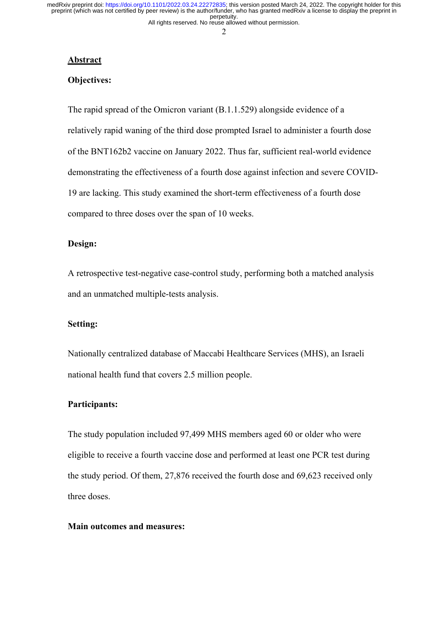All rights reserved. No reuse allowed without permission. perpetuity. preprint (which was not certified by peer review) is the author/funder, who has granted medRxiv a license to display the preprint in medRxiv preprint doi: [https://doi.org/10.1101/2022.03.24.22272835;](https://doi.org/10.1101/2022.03.24.22272835) this version posted March 24, 2022. The copyright holder for this

2

#### **Abstract**

### **Objectives:**

The rapid spread of the Omicron variant (B.1.1.529) alongside evidence of a relatively rapid waning of the third dose prompted Israel to administer a fourth dose of the BNT162b2 vaccine on January 2022. Thus far, sufficient real-world evidence demonstrating the effectiveness of a fourth dose against infection and severe COVID-19 are lacking. This study examined the short-term effectiveness of a fourth dose compared to three doses over the span of 10 weeks.

# **Design:**

A retrospective test-negative case-control study, performing both a matched analysis and an unmatched multiple-tests analysis.

#### **Setting:**

Nationally centralized database of Maccabi Healthcare Services (MHS), an Israeli national health fund that covers 2.5 million people.

#### **Participants:**

The study population included 97,499 MHS members aged 60 or older who were eligible to receive a fourth vaccine dose and performed at least one PCR test during the study period. Of them, 27,876 received the fourth dose and 69,623 received only three doses.

## **Main outcomes and measures:**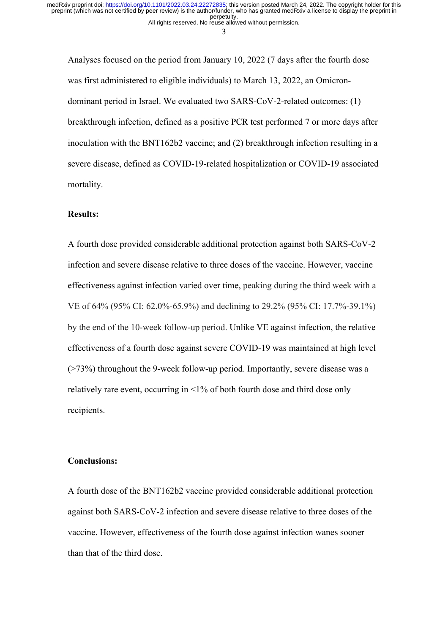3

Analyses focused on the period from January 10, 2022 (7 days after the fourth dose was first administered to eligible individuals) to March 13, 2022, an Omicrondominant period in Israel. We evaluated two SARS-CoV-2-related outcomes: (1) breakthrough infection, defined as a positive PCR test performed 7 or more days after inoculation with the BNT162b2 vaccine; and (2) breakthrough infection resulting in a severe disease, defined as COVID-19-related hospitalization or COVID-19 associated mortality.

#### **Results:**

A fourth dose provided considerable additional protection against both SARS-CoV-2 infection and severe disease relative to three doses of the vaccine. However, vaccine effectiveness against infection varied over time, peaking during the third week with a VE of 64% (95% CI: 62.0%-65.9%) and declining to 29.2% (95% CI: 17.7%-39.1%) by the end of the 10-week follow-up period. Unlike VE against infection, the relative effectiveness of a fourth dose against severe COVID-19 was maintained at high level (>73%) throughout the 9-week follow-up period. Importantly, severe disease was a relatively rare event, occurring in <1% of both fourth dose and third dose only recipients.

### **Conclusions:**

A fourth dose of the BNT162b2 vaccine provided considerable additional protection against both SARS-CoV-2 infection and severe disease relative to three doses of the vaccine. However, effectiveness of the fourth dose against infection wanes sooner than that of the third dose.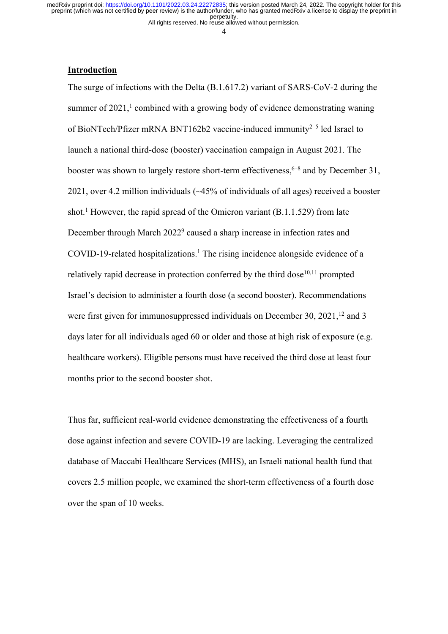All rights reserved. No reuse allowed without permission.

4

#### **Introduction**

The surge of infections with the Delta (B.1.617.2) variant of SARS-CoV-2 during the summer of  $2021<sup>1</sup>$  combined with a growing body of evidence demonstrating waning of BioNTech/Pfizer mRNA BNT162b2 vaccine-induced immunity<sup>2–5</sup> led Israel to launch a national third-dose (booster) vaccination campaign in August 2021. The booster was shown to largely restore short-term effectiveness,  $6-8$  and by December 31, 2021, over 4.2 million individuals (~45% of individuals of all ages) received a booster shot.<sup>1</sup> However, the rapid spread of the Omicron variant  $(B.1.1.529)$  from late December through March 2022<sup>9</sup> caused a sharp increase in infection rates and COVID-19-related hospitalizations.<sup>1</sup> The rising incidence alongside evidence of a relatively rapid decrease in protection conferred by the third dose $10,11$  prompted Israel's decision to administer a fourth dose (a second booster). Recommendations were first given for immunosuppressed individuals on December 30,  $2021$ ,  $^{12}$  and 3 days later for all individuals aged 60 or older and those at high risk of exposure (e.g. healthcare workers). Eligible persons must have received the third dose at least four months prior to the second booster shot.

Thus far, sufficient real-world evidence demonstrating the effectiveness of a fourth dose against infection and severe COVID-19 are lacking. Leveraging the centralized database of Maccabi Healthcare Services (MHS), an Israeli national health fund that covers 2.5 million people, we examined the short-term effectiveness of a fourth dose over the span of 10 weeks.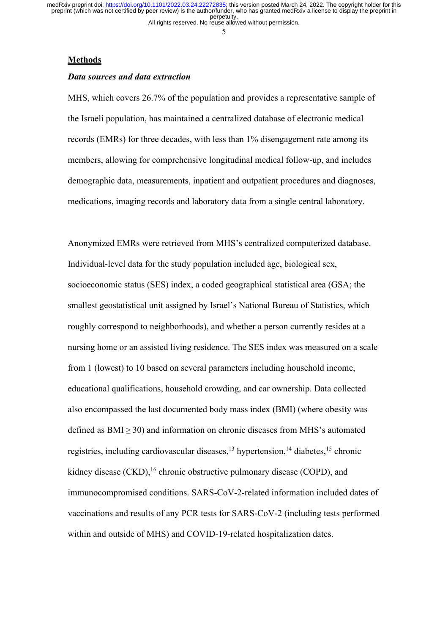All rights reserved. No reuse allowed without permission.

5

#### **Methods**

#### *Data sources and data extraction*

MHS, which covers 26.7% of the population and provides a representative sample of the Israeli population, has maintained a centralized database of electronic medical records (EMRs) for three decades, with less than 1% disengagement rate among its members, allowing for comprehensive longitudinal medical follow-up, and includes demographic data, measurements, inpatient and outpatient procedures and diagnoses, medications, imaging records and laboratory data from a single central laboratory.

Anonymized EMRs were retrieved from MHS's centralized computerized database. Individual-level data for the study population included age, biological sex, socioeconomic status (SES) index, a coded geographical statistical area (GSA; the smallest geostatistical unit assigned by Israel's National Bureau of Statistics, which roughly correspond to neighborhoods), and whether a person currently resides at a nursing home or an assisted living residence. The SES index was measured on a scale from 1 (lowest) to 10 based on several parameters including household income, educational qualifications, household crowding, and car ownership. Data collected also encompassed the last documented body mass index (BMI) (where obesity was defined as  $BMI \geq 30$ ) and information on chronic diseases from MHS's automated registries, including cardiovascular diseases,<sup>13</sup> hypertension,<sup>14</sup> diabetes,<sup>15</sup> chronic kidney disease (CKD),<sup>16</sup> chronic obstructive pulmonary disease (COPD), and immunocompromised conditions. SARS-CoV-2-related information included dates of vaccinations and results of any PCR tests for SARS-CoV-2 (including tests performed within and outside of MHS) and COVID-19-related hospitalization dates.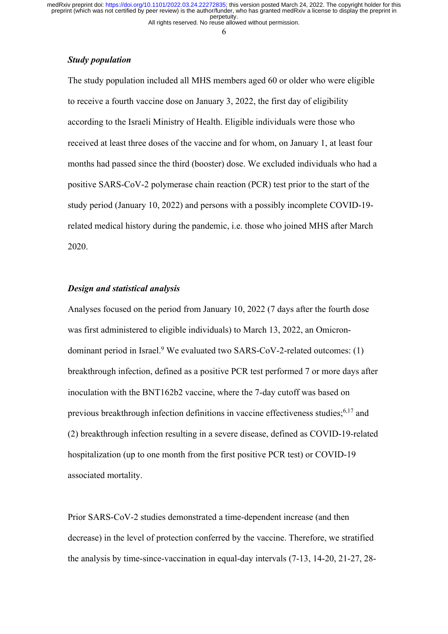All rights reserved. No reuse allowed without permission. perpetuity. preprint (which was not certified by peer review) is the author/funder, who has granted medRxiv a license to display the preprint in medRxiv preprint doi: [https://doi.org/10.1101/2022.03.24.22272835;](https://doi.org/10.1101/2022.03.24.22272835) this version posted March 24, 2022. The copyright holder for this

6

### *Study population*

The study population included all MHS members aged 60 or older who were eligible to receive a fourth vaccine dose on January 3, 2022, the first day of eligibility according to the Israeli Ministry of Health. Eligible individuals were those who received at least three doses of the vaccine and for whom, on January 1, at least four months had passed since the third (booster) dose. We excluded individuals who had a positive SARS-CoV-2 polymerase chain reaction (PCR) test prior to the start of the study period (January 10, 2022) and persons with a possibly incomplete COVID-19 related medical history during the pandemic, i.e. those who joined MHS after March 2020.

### *Design and statistical analysis*

Analyses focused on the period from January 10, 2022 (7 days after the fourth dose was first administered to eligible individuals) to March 13, 2022, an Omicrondominant period in Israel.<sup>9</sup> We evaluated two SARS-CoV-2-related outcomes:  $(1)$ breakthrough infection, defined as a positive PCR test performed 7 or more days after inoculation with the BNT162b2 vaccine, where the 7-day cutoff was based on previous breakthrough infection definitions in vaccine effectiveness studies;<sup>6,17</sup> and (2) breakthrough infection resulting in a severe disease, defined as COVID-19-related hospitalization (up to one month from the first positive PCR test) or COVID-19 associated mortality.

Prior SARS-CoV-2 studies demonstrated a time-dependent increase (and then decrease) in the level of protection conferred by the vaccine. Therefore, we stratified the analysis by time-since-vaccination in equal-day intervals (7-13, 14-20, 21-27, 28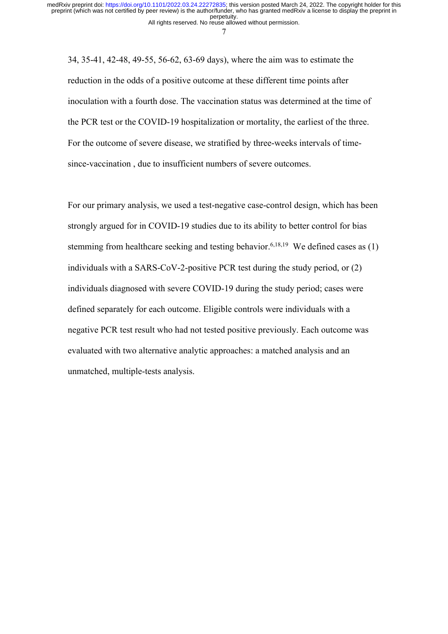7

34, 35-41, 42-48, 49-55, 56-62, 63-69 days), where the aim was to estimate the reduction in the odds of a positive outcome at these different time points after inoculation with a fourth dose. The vaccination status was determined at the time of the PCR test or the COVID-19 hospitalization or mortality, the earliest of the three. For the outcome of severe disease, we stratified by three-weeks intervals of timesince-vaccination , due to insufficient numbers of severe outcomes.

For our primary analysis, we used a test-negative case-control design, which has been strongly argued for in COVID-19 studies due to its ability to better control for bias stemming from healthcare seeking and testing behavior.<sup>6,18,19</sup> We defined cases as  $(1)$ individuals with a SARS-CoV-2-positive PCR test during the study period, or (2) individuals diagnosed with severe COVID-19 during the study period; cases were defined separately for each outcome. Eligible controls were individuals with a negative PCR test result who had not tested positive previously. Each outcome was evaluated with two alternative analytic approaches: a matched analysis and an unmatched, multiple-tests analysis.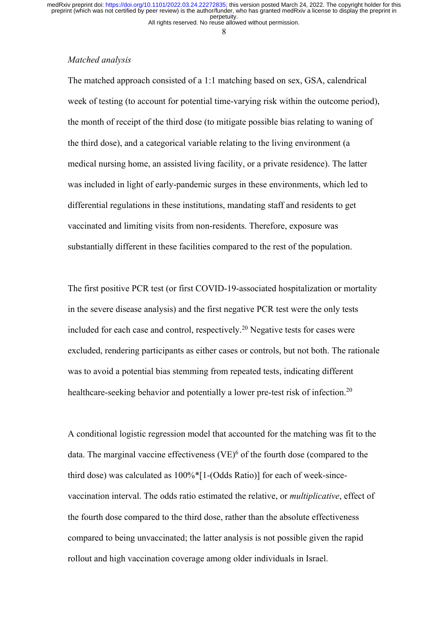All rights reserved. No reuse allowed without permission.

8

## *Matched analysis*

The matched approach consisted of a 1:1 matching based on sex, GSA, calendrical week of testing (to account for potential time-varying risk within the outcome period), the month of receipt of the third dose (to mitigate possible bias relating to waning of the third dose), and a categorical variable relating to the living environment (a medical nursing home, an assisted living facility, or a private residence). The latter was included in light of early-pandemic surges in these environments, which led to differential regulations in these institutions, mandating staff and residents to get vaccinated and limiting visits from non-residents. Therefore, exposure was substantially different in these facilities compared to the rest of the population.

The first positive PCR test (or first COVID-19-associated hospitalization or mortality in the severe disease analysis) and the first negative PCR test were the only tests included for each case and control, respectively.20 Negative tests for cases were excluded, rendering participants as either cases or controls, but not both. The rationale was to avoid a potential bias stemming from repeated tests, indicating different healthcare-seeking behavior and potentially a lower pre-test risk of infection.<sup>20</sup>

A conditional logistic regression model that accounted for the matching was fit to the data. The marginal vaccine effectiveness  $(VE)^6$  of the fourth dose (compared to the third dose) was calculated as 100%\*[1-(Odds Ratio)] for each of week-sincevaccination interval. The odds ratio estimated the relative, or *multiplicative*, effect of the fourth dose compared to the third dose, rather than the absolute effectiveness compared to being unvaccinated; the latter analysis is not possible given the rapid rollout and high vaccination coverage among older individuals in Israel.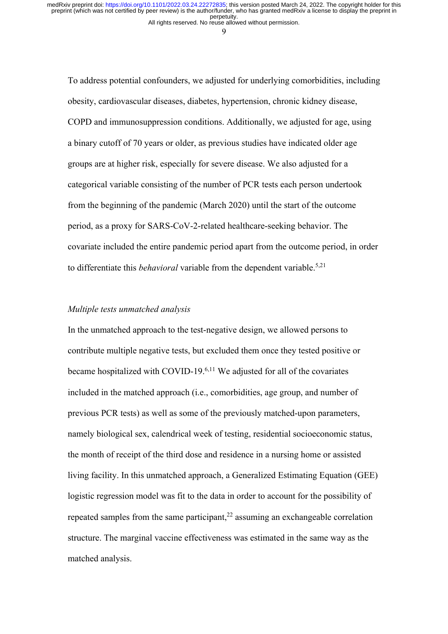All rights reserved. No reuse allowed without permission.

9

To address potential confounders, we adjusted for underlying comorbidities, including obesity, cardiovascular diseases, diabetes, hypertension, chronic kidney disease, COPD and immunosuppression conditions. Additionally, we adjusted for age, using a binary cutoff of 70 years or older, as previous studies have indicated older age groups are at higher risk, especially for severe disease. We also adjusted for a categorical variable consisting of the number of PCR tests each person undertook from the beginning of the pandemic (March 2020) until the start of the outcome period, as a proxy for SARS-CoV-2-related healthcare-seeking behavior. The covariate included the entire pandemic period apart from the outcome period, in order to differentiate this *behavioral* variable from the dependent variable.5,21

# *Multiple tests unmatched analysis*

In the unmatched approach to the test-negative design, we allowed persons to contribute multiple negative tests, but excluded them once they tested positive or became hospitalized with COVID-19. 6,11 We adjusted for all of the covariates included in the matched approach (i.e., comorbidities, age group, and number of previous PCR tests) as well as some of the previously matched-upon parameters, namely biological sex, calendrical week of testing, residential socioeconomic status, the month of receipt of the third dose and residence in a nursing home or assisted living facility. In this unmatched approach, a Generalized Estimating Equation (GEE) logistic regression model was fit to the data in order to account for the possibility of repeated samples from the same participant, $^{22}$  assuming an exchangeable correlation structure. The marginal vaccine effectiveness was estimated in the same way as the matched analysis.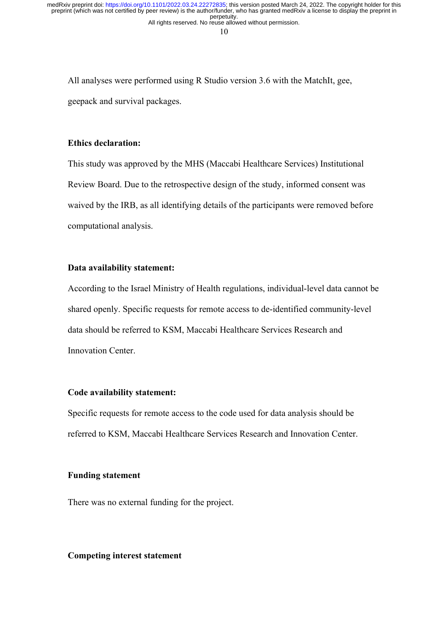10

All analyses were performed using R Studio version 3.6 with the MatchIt, gee, geepack and survival packages.

### **Ethics declaration:**

This study was approved by the MHS (Maccabi Healthcare Services) Institutional Review Board. Due to the retrospective design of the study, informed consent was waived by the IRB, as all identifying details of the participants were removed before computational analysis.

# **Data availability statement:**

According to the Israel Ministry of Health regulations, individual-level data cannot be shared openly. Specific requests for remote access to de-identified community-level data should be referred to KSM, Maccabi Healthcare Services Research and Innovation Center.

# **Code availability statement:**

Specific requests for remote access to the code used for data analysis should be referred to KSM, Maccabi Healthcare Services Research and Innovation Center.

#### **Funding statement**

There was no external funding for the project.

# **Competing interest statement**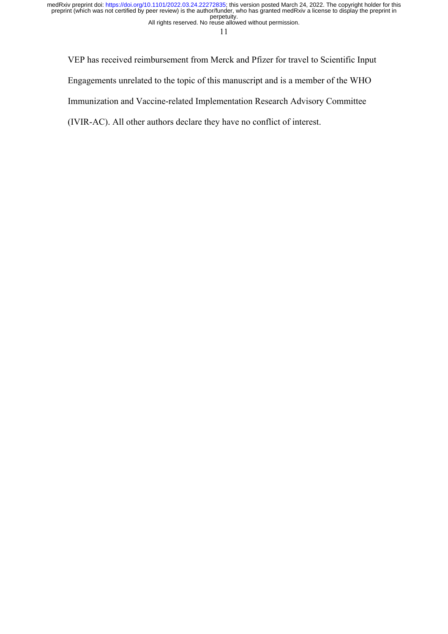All rights reserved. No reuse allowed without permission.

11

VEP has received reimbursement from Merck and Pfizer for travel to Scientific Input Engagements unrelated to the topic of this manuscript and is a member of the WHO

Immunization and Vaccine-related Implementation Research Advisory Committee

(IVIR-AC). All other authors declare they have no conflict of interest.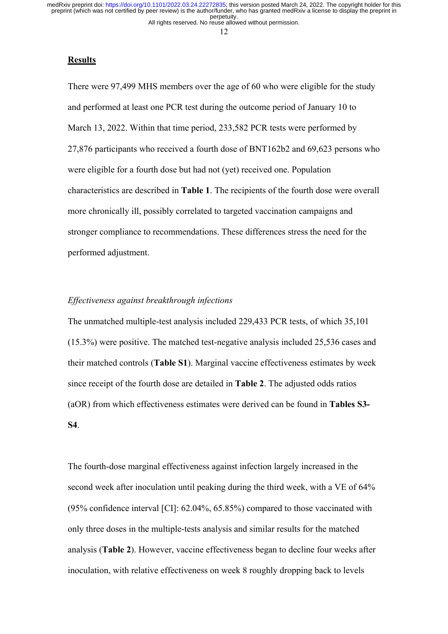All rights reserved. No reuse allowed without permission.

12

#### **Results**

There were 97,499 MHS members over the age of 60 who were eligible for the study and performed at least one PCR test during the outcome period of January 10 to March 13, 2022. Within that time period, 233,582 PCR tests were performed by 27,876 participants who received a fourth dose of BNT162b2 and 69,623 persons who were eligible for a fourth dose but had not (yet) received one. Population characteristics are described in **Table 1**. The recipients of the fourth dose were overall more chronically ill, possibly correlated to targeted vaccination campaigns and stronger compliance to recommendations. These differences stress the need for the performed adjustment.

### *Effectiveness against breakthrough infections*

The unmatched multiple-test analysis included 229,433 PCR tests, of which 35,101 (15.3%) were positive. The matched test-negative analysis included 25,536 cases and their matched controls (**Table S1**). Marginal vaccine effectiveness estimates by week since receipt of the fourth dose are detailed in **Table 2**. The adjusted odds ratios (aOR) from which effectiveness estimates were derived can be found in **Tables S3- S4**.

The fourth-dose marginal effectiveness against infection largely increased in the second week after inoculation until peaking during the third week, with a VE of 64% (95% confidence interval [CI]: 62.04%, 65.85%) compared to those vaccinated with only three doses in the multiple-tests analysis and similar results for the matched analysis (**Table 2**). However, vaccine effectiveness began to decline four weeks after inoculation, with relative effectiveness on week 8 roughly dropping back to levels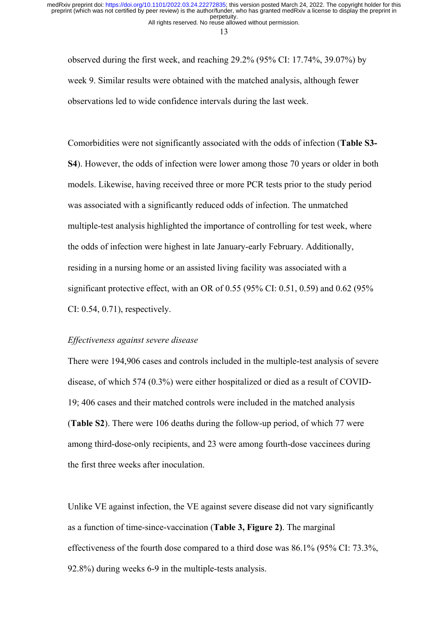13

observed during the first week, and reaching 29.2% (95% CI: 17.74%, 39.07%) by week 9. Similar results were obtained with the matched analysis, although fewer observations led to wide confidence intervals during the last week.

Comorbidities were not significantly associated with the odds of infection (**Table S3- S4**). However, the odds of infection were lower among those 70 years or older in both models. Likewise, having received three or more PCR tests prior to the study period was associated with a significantly reduced odds of infection. The unmatched multiple-test analysis highlighted the importance of controlling for test week, where the odds of infection were highest in late January-early February. Additionally, residing in a nursing home or an assisted living facility was associated with a significant protective effect, with an OR of 0.55 (95% CI: 0.51, 0.59) and 0.62 (95% CI: 0.54, 0.71), respectively.

#### *Effectiveness against severe disease*

There were 194,906 cases and controls included in the multiple-test analysis of severe disease, of which 574 (0.3%) were either hospitalized or died as a result of COVID-19; 406 cases and their matched controls were included in the matched analysis (**Table S2**). There were 106 deaths during the follow-up period, of which 77 were among third-dose-only recipients, and 23 were among fourth-dose vaccinees during the first three weeks after inoculation.

Unlike VE against infection, the VE against severe disease did not vary significantly as a function of time-since-vaccination (**Table 3, Figure 2)**. The marginal effectiveness of the fourth dose compared to a third dose was 86.1% (95% CI: 73.3%, 92.8%) during weeks 6-9 in the multiple-tests analysis.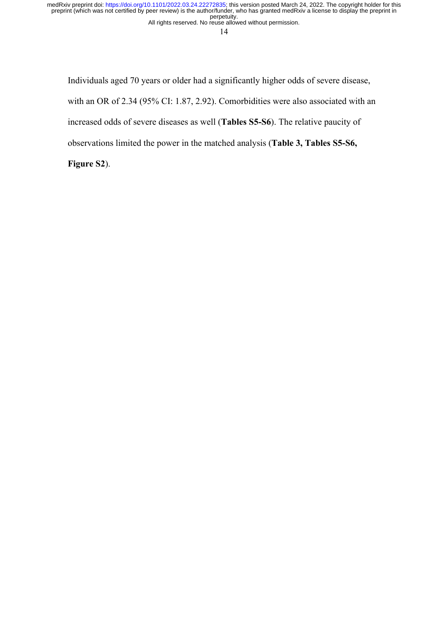All rights reserved. No reuse allowed without permission. perpetuity. preprint (which was not certified by peer review) is the author/funder, who has granted medRxiv a license to display the preprint in medRxiv preprint doi: [https://doi.org/10.1101/2022.03.24.22272835;](https://doi.org/10.1101/2022.03.24.22272835) this version posted March 24, 2022. The copyright holder for this

14

Individuals aged 70 years or older had a significantly higher odds of severe disease, with an OR of 2.34 (95% CI: 1.87, 2.92). Comorbidities were also associated with an increased odds of severe diseases as well (**Tables S5-S6**). The relative paucity of observations limited the power in the matched analysis (**Table 3, Tables S5-S6,** 

**Figure S2**).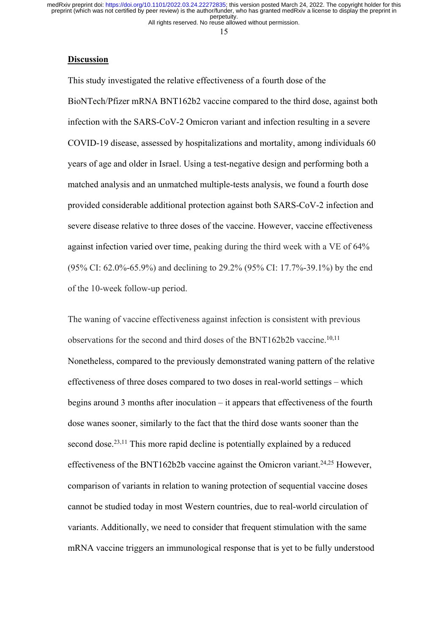All rights reserved. No reuse allowed without permission.

15

#### **Discussion**

This study investigated the relative effectiveness of a fourth dose of the BioNTech/Pfizer mRNA BNT162b2 vaccine compared to the third dose, against both infection with the SARS-CoV-2 Omicron variant and infection resulting in a severe COVID-19 disease, assessed by hospitalizations and mortality, among individuals 60 years of age and older in Israel. Using a test-negative design and performing both a matched analysis and an unmatched multiple-tests analysis, we found a fourth dose provided considerable additional protection against both SARS-CoV-2 infection and severe disease relative to three doses of the vaccine. However, vaccine effectiveness against infection varied over time, peaking during the third week with a VE of 64% (95% CI: 62.0%-65.9%) and declining to 29.2% (95% CI: 17.7%-39.1%) by the end of the 10-week follow-up period.

The waning of vaccine effectiveness against infection is consistent with previous observations for the second and third doses of the BNT162b2b vaccine. 10,11 Nonetheless, compared to the previously demonstrated waning pattern of the relative effectiveness of three doses compared to two doses in real-world settings – which begins around 3 months after inoculation – it appears that effectiveness of the fourth dose wanes sooner, similarly to the fact that the third dose wants sooner than the second dose.<sup>23,11</sup> This more rapid decline is potentially explained by a reduced effectiveness of the BNT162b2b vaccine against the Omicron variant.<sup>24,25</sup> However, comparison of variants in relation to waning protection of sequential vaccine doses cannot be studied today in most Western countries, due to real-world circulation of variants. Additionally, we need to consider that frequent stimulation with the same mRNA vaccine triggers an immunological response that is yet to be fully understood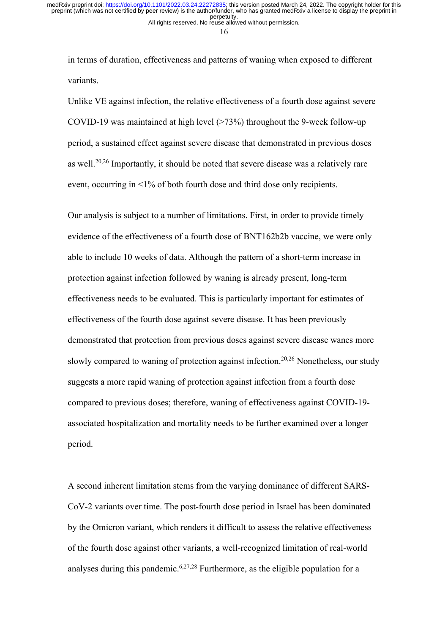16

in terms of duration, effectiveness and patterns of waning when exposed to different variants.

Unlike VE against infection, the relative effectiveness of a fourth dose against severe COVID-19 was maintained at high level (>73%) throughout the 9-week follow-up period, a sustained effect against severe disease that demonstrated in previous doses as well.<sup>20,26</sup> Importantly, it should be noted that severe disease was a relatively rare event, occurring in <1% of both fourth dose and third dose only recipients.

Our analysis is subject to a number of limitations. First, in order to provide timely evidence of the effectiveness of a fourth dose of BNT162b2b vaccine, we were only able to include 10 weeks of data. Although the pattern of a short-term increase in protection against infection followed by waning is already present, long-term effectiveness needs to be evaluated. This is particularly important for estimates of effectiveness of the fourth dose against severe disease. It has been previously demonstrated that protection from previous doses against severe disease wanes more slowly compared to waning of protection against infection.<sup>20,26</sup> Nonetheless, our study suggests a more rapid waning of protection against infection from a fourth dose compared to previous doses; therefore, waning of effectiveness against COVID-19 associated hospitalization and mortality needs to be further examined over a longer period.

A second inherent limitation stems from the varying dominance of different SARS-CoV-2 variants over time. The post-fourth dose period in Israel has been dominated by the Omicron variant, which renders it difficult to assess the relative effectiveness of the fourth dose against other variants, a well-recognized limitation of real-world analyses during this pandemic.<sup>6,27,28</sup> Furthermore, as the eligible population for a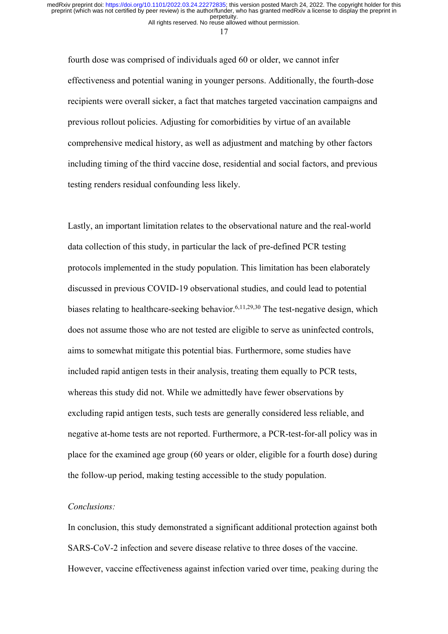All rights reserved. No reuse allowed without permission. perpetuity. preprint (which was not certified by peer review) is the author/funder, who has granted medRxiv a license to display the preprint in medRxiv preprint doi: [https://doi.org/10.1101/2022.03.24.22272835;](https://doi.org/10.1101/2022.03.24.22272835) this version posted March 24, 2022. The copyright holder for this

17

fourth dose was comprised of individuals aged 60 or older, we cannot infer effectiveness and potential waning in younger persons. Additionally, the fourth-dose recipients were overall sicker, a fact that matches targeted vaccination campaigns and previous rollout policies. Adjusting for comorbidities by virtue of an available comprehensive medical history, as well as adjustment and matching by other factors including timing of the third vaccine dose, residential and social factors, and previous testing renders residual confounding less likely.

Lastly, an important limitation relates to the observational nature and the real-world data collection of this study, in particular the lack of pre-defined PCR testing protocols implemented in the study population. This limitation has been elaborately discussed in previous COVID-19 observational studies, and could lead to potential biases relating to healthcare-seeking behavior.<sup>6,11,29,30</sup> The test-negative design, which does not assume those who are not tested are eligible to serve as uninfected controls, aims to somewhat mitigate this potential bias. Furthermore, some studies have included rapid antigen tests in their analysis, treating them equally to PCR tests, whereas this study did not. While we admittedly have fewer observations by excluding rapid antigen tests, such tests are generally considered less reliable, and negative at-home tests are not reported. Furthermore, a PCR-test-for-all policy was in place for the examined age group (60 years or older, eligible for a fourth dose) during the follow-up period, making testing accessible to the study population.

# *Conclusions:*

In conclusion, this study demonstrated a significant additional protection against both SARS-CoV-2 infection and severe disease relative to three doses of the vaccine. However, vaccine effectiveness against infection varied over time, peaking during the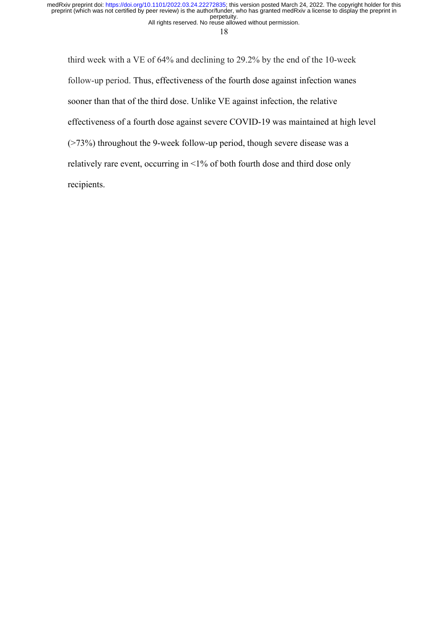All rights reserved. No reuse allowed without permission. perpetuity. preprint (which was not certified by peer review) is the author/funder, who has granted medRxiv a license to display the preprint in medRxiv preprint doi: [https://doi.org/10.1101/2022.03.24.22272835;](https://doi.org/10.1101/2022.03.24.22272835) this version posted March 24, 2022. The copyright holder for this

18

third week with a VE of 64% and declining to 29.2% by the end of the 10-week follow-up period. Thus, effectiveness of the fourth dose against infection wanes sooner than that of the third dose. Unlike VE against infection, the relative effectiveness of a fourth dose against severe COVID-19 was maintained at high level (>73%) throughout the 9-week follow-up period, though severe disease was a relatively rare event, occurring in <1% of both fourth dose and third dose only recipients.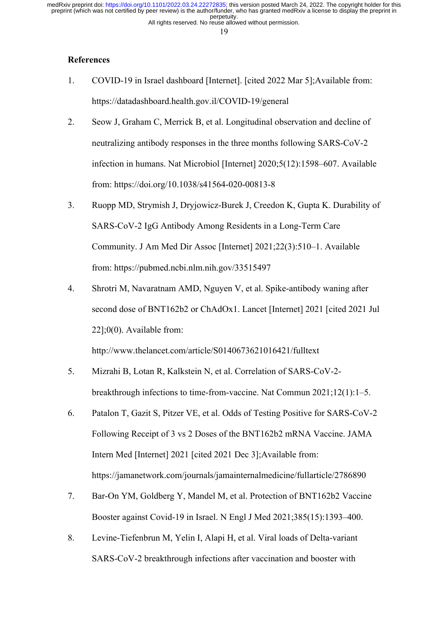All rights reserved. No reuse allowed without permission. perpetuity. preprint (which was not certified by peer review) is the author/funder, who has granted medRxiv a license to display the preprint in medRxiv preprint doi: [https://doi.org/10.1101/2022.03.24.22272835;](https://doi.org/10.1101/2022.03.24.22272835) this version posted March 24, 2022. The copyright holder for this

19

# **References**

- 1. COVID-19 in Israel dashboard [Internet]. [cited 2022 Mar 5];Available from: https://datadashboard.health.gov.il/COVID-19/general
- 2. Seow J, Graham C, Merrick B, et al. Longitudinal observation and decline of neutralizing antibody responses in the three months following SARS-CoV-2 infection in humans. Nat Microbiol [Internet] 2020;5(12):1598–607. Available from: https://doi.org/10.1038/s41564-020-00813-8
- 3. Ruopp MD, Strymish J, Dryjowicz-Burek J, Creedon K, Gupta K. Durability of SARS-CoV-2 IgG Antibody Among Residents in a Long-Term Care Community. J Am Med Dir Assoc [Internet] 2021;22(3):510–1. Available from: https://pubmed.ncbi.nlm.nih.gov/33515497
- 4. Shrotri M, Navaratnam AMD, Nguyen V, et al. Spike-antibody waning after second dose of BNT162b2 or ChAdOx1. Lancet [Internet] 2021 [cited 2021 Jul 22];0(0). Available from:

http://www.thelancet.com/article/S0140673621016421/fulltext

- 5. Mizrahi B, Lotan R, Kalkstein N, et al. Correlation of SARS-CoV-2 breakthrough infections to time-from-vaccine. Nat Commun 2021;12(1):1–5.
- 6. Patalon T, Gazit S, Pitzer VE, et al. Odds of Testing Positive for SARS-CoV-2 Following Receipt of 3 vs 2 Doses of the BNT162b2 mRNA Vaccine. JAMA Intern Med [Internet] 2021 [cited 2021 Dec 3];Available from: https://jamanetwork.com/journals/jamainternalmedicine/fullarticle/2786890
- 7. Bar-On YM, Goldberg Y, Mandel M, et al. Protection of BNT162b2 Vaccine Booster against Covid-19 in Israel. N Engl J Med 2021;385(15):1393–400.
- 8. Levine-Tiefenbrun M, Yelin I, Alapi H, et al. Viral loads of Delta-variant SARS-CoV-2 breakthrough infections after vaccination and booster with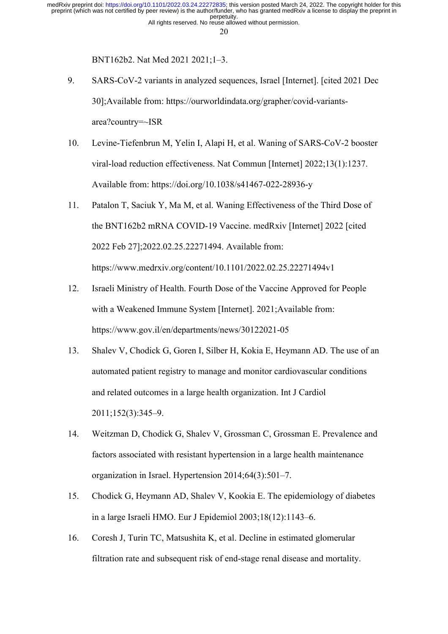20

BNT162b2. Nat Med 2021 2021;1–3.

- 9. SARS-CoV-2 variants in analyzed sequences, Israel [Internet]. [cited 2021 Dec 30];Available from: https://ourworldindata.org/grapher/covid-variantsarea?country=~ISR
- 10. Levine-Tiefenbrun M, Yelin I, Alapi H, et al. Waning of SARS-CoV-2 booster viral-load reduction effectiveness. Nat Commun [Internet] 2022;13(1):1237. Available from: https://doi.org/10.1038/s41467-022-28936-y
- 11. Patalon T, Saciuk Y, Ma M, et al. Waning Effectiveness of the Third Dose of the BNT162b2 mRNA COVID-19 Vaccine. medRxiv [Internet] 2022 [cited 2022 Feb 27];2022.02.25.22271494. Available from: https://www.medrxiv.org/content/10.1101/2022.02.25.22271494v1
- 12. Israeli Ministry of Health. Fourth Dose of the Vaccine Approved for People with a Weakened Immune System [Internet]. 2021;Available from: https://www.gov.il/en/departments/news/30122021-05
- 13. Shalev V, Chodick G, Goren I, Silber H, Kokia E, Heymann AD. The use of an automated patient registry to manage and monitor cardiovascular conditions and related outcomes in a large health organization. Int J Cardiol 2011;152(3):345–9.
- 14. Weitzman D, Chodick G, Shalev V, Grossman C, Grossman E. Prevalence and factors associated with resistant hypertension in a large health maintenance organization in Israel. Hypertension 2014;64(3):501–7.
- 15. Chodick G, Heymann AD, Shalev V, Kookia E. The epidemiology of diabetes in a large Israeli HMO. Eur J Epidemiol 2003;18(12):1143–6.
- 16. Coresh J, Turin TC, Matsushita K, et al. Decline in estimated glomerular filtration rate and subsequent risk of end-stage renal disease and mortality.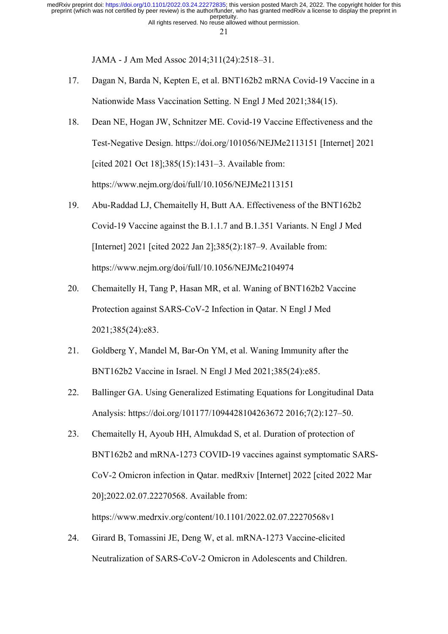JAMA - J Am Med Assoc 2014;311(24):2518–31.

- 17. Dagan N, Barda N, Kepten E, et al. BNT162b2 mRNA Covid-19 Vaccine in a Nationwide Mass Vaccination Setting. N Engl J Med 2021;384(15).
- 18. Dean NE, Hogan JW, Schnitzer ME. Covid-19 Vaccine Effectiveness and the Test-Negative Design. https://doi.org/101056/NEJMe2113151 [Internet] 2021 [cited 2021 Oct 18];385(15):1431–3. Available from: https://www.nejm.org/doi/full/10.1056/NEJMe2113151
- 19. Abu-Raddad LJ, Chemaitelly H, Butt AA. Effectiveness of the BNT162b2 Covid-19 Vaccine against the B.1.1.7 and B.1.351 Variants. N Engl J Med [Internet] 2021 [cited 2022 Jan 2];385(2):187–9. Available from: https://www.nejm.org/doi/full/10.1056/NEJMc2104974
- 20. Chemaitelly H, Tang P, Hasan MR, et al. Waning of BNT162b2 Vaccine Protection against SARS-CoV-2 Infection in Qatar. N Engl J Med 2021;385(24):e83.
- 21. Goldberg Y, Mandel M, Bar-On YM, et al. Waning Immunity after the BNT162b2 Vaccine in Israel. N Engl J Med 2021;385(24):e85.
- 22. Ballinger GA. Using Generalized Estimating Equations for Longitudinal Data Analysis: https://doi.org/101177/1094428104263672 2016;7(2):127–50.
- 23. Chemaitelly H, Ayoub HH, Almukdad S, et al. Duration of protection of BNT162b2 and mRNA-1273 COVID-19 vaccines against symptomatic SARS-CoV-2 Omicron infection in Qatar. medRxiv [Internet] 2022 [cited 2022 Mar 20];2022.02.07.22270568. Available from: https://www.medrxiv.org/content/10.1101/2022.02.07.22270568v1
- 24. Girard B, Tomassini JE, Deng W, et al. mRNA-1273 Vaccine-elicited Neutralization of SARS-CoV-2 Omicron in Adolescents and Children.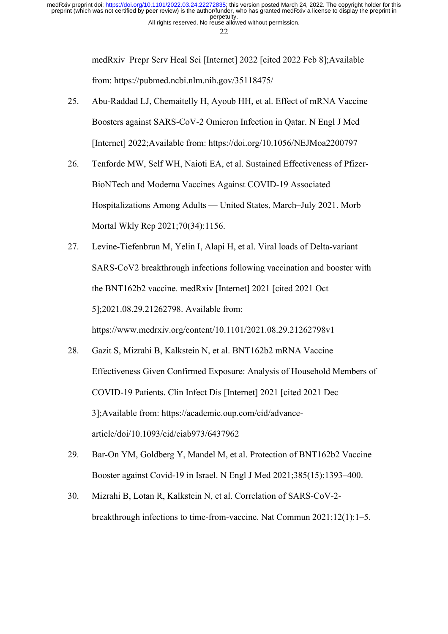22

medRxiv Prepr Serv Heal Sci [Internet] 2022 [cited 2022 Feb 8];Available from: https://pubmed.ncbi.nlm.nih.gov/35118475/

- 25. Abu-Raddad LJ, Chemaitelly H, Ayoub HH, et al. Effect of mRNA Vaccine Boosters against SARS-CoV-2 Omicron Infection in Qatar. N Engl J Med [Internet] 2022;Available from: https://doi.org/10.1056/NEJMoa2200797
- 26. Tenforde MW, Self WH, Naioti EA, et al. Sustained Effectiveness of Pfizer-BioNTech and Moderna Vaccines Against COVID-19 Associated Hospitalizations Among Adults — United States, March–July 2021. Morb Mortal Wkly Rep 2021;70(34):1156.
- 27. Levine-Tiefenbrun M, Yelin I, Alapi H, et al. Viral loads of Delta-variant SARS-CoV2 breakthrough infections following vaccination and booster with the BNT162b2 vaccine. medRxiv [Internet] 2021 [cited 2021 Oct 5];2021.08.29.21262798. Available from: https://www.medrxiv.org/content/10.1101/2021.08.29.21262798v1
- 28. Gazit S, Mizrahi B, Kalkstein N, et al. BNT162b2 mRNA Vaccine Effectiveness Given Confirmed Exposure: Analysis of Household Members of COVID-19 Patients. Clin Infect Dis [Internet] 2021 [cited 2021 Dec 3];Available from: https://academic.oup.com/cid/advancearticle/doi/10.1093/cid/ciab973/6437962
- 29. Bar-On YM, Goldberg Y, Mandel M, et al. Protection of BNT162b2 Vaccine Booster against Covid-19 in Israel. N Engl J Med 2021;385(15):1393–400.
- 30. Mizrahi B, Lotan R, Kalkstein N, et al. Correlation of SARS-CoV-2 breakthrough infections to time-from-vaccine. Nat Commun 2021;12(1):1–5.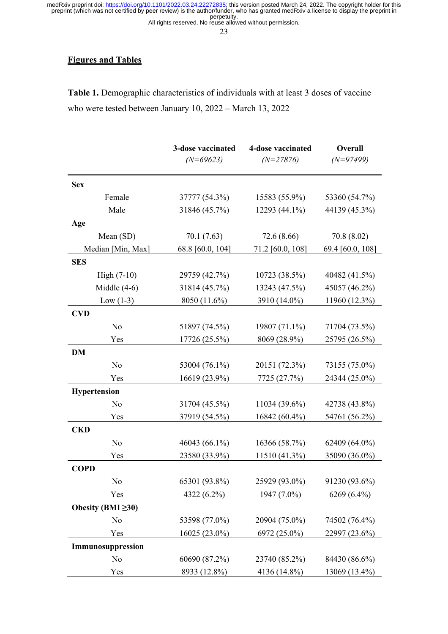All rights reserved. No reuse allowed without permission.

23

# **Figures and Tables**

**Table 1.** Demographic characteristics of individuals with at least 3 doses of vaccine who were tested between January 10, 2022 – March 13, 2022

|                          | 3-dose vaccinated | 4-dose vaccinated | Overall          |
|--------------------------|-------------------|-------------------|------------------|
|                          | $(N=69623)$       | $(N=27876)$       | $(N=97499)$      |
| <b>Sex</b>               |                   |                   |                  |
| Female                   | 37777 (54.3%)     | 15583 (55.9%)     | 53360 (54.7%)    |
| Male                     | 31846 (45.7%)     | 12293 (44.1%)     | 44139 (45.3%)    |
| Age                      |                   |                   |                  |
| Mean (SD)                | 70.1(7.63)        | 72.6 (8.66)       | 70.8 (8.02)      |
| Median [Min, Max]        | 68.8 [60.0, 104]  | 71.2 [60.0, 108]  | 69.4 [60.0, 108] |
| <b>SES</b>               |                   |                   |                  |
| $High (7-10)$            | 29759 (42.7%)     | 10723 (38.5%)     | 40482 (41.5%)    |
| Middle $(4-6)$           | 31814 (45.7%)     | 13243 (47.5%)     | 45057 (46.2%)    |
| Low $(1-3)$              | 8050 (11.6%)      | 3910 (14.0%)      | 11960 (12.3%)    |
| <b>CVD</b>               |                   |                   |                  |
| No                       | 51897 (74.5%)     | 19807 (71.1%)     | 71704 (73.5%)    |
| Yes                      | 17726 (25.5%)     | 8069 (28.9%)      | 25795 (26.5%)    |
| <b>DM</b>                |                   |                   |                  |
| No                       | 53004 (76.1%)     | 20151 (72.3%)     | 73155 (75.0%)    |
| Yes                      | 16619 (23.9%)     | 7725 (27.7%)      | 24344 (25.0%)    |
| <b>Hypertension</b>      |                   |                   |                  |
| No                       | 31704 (45.5%)     | 11034 (39.6%)     | 42738 (43.8%)    |
| Yes                      | 37919 (54.5%)     | 16842 (60.4%)     | 54761 (56.2%)    |
| <b>CKD</b>               |                   |                   |                  |
| No                       | 46043 (66.1%)     | 16366 (58.7%)     | 62409 (64.0%)    |
| Yes                      | 23580 (33.9%)     | 11510 (41.3%)     | 35090 (36.0%)    |
| <b>COPD</b>              |                   |                   |                  |
| No                       | 65301 (93.8%)     | 25929 (93.0%)     | 91230 (93.6%)    |
| Yes                      | 4322 (6.2%)       | 1947 (7.0%)       | $6269(6.4\%)$    |
| Obesity (BMI $\geq 30$ ) |                   |                   |                  |
| No                       | 53598 (77.0%)     | 20904 (75.0%)     | 74502 (76.4%)    |
| Yes                      | 16025 (23.0%)     | 6972 (25.0%)      | 22997 (23.6%)    |
| Immunosuppression        |                   |                   |                  |
| No                       | 60690 (87.2%)     | 23740 (85.2%)     | 84430 (86.6%)    |
| Yes                      | 8933 (12.8%)      | 4136 (14.8%)      | 13069 (13.4%)    |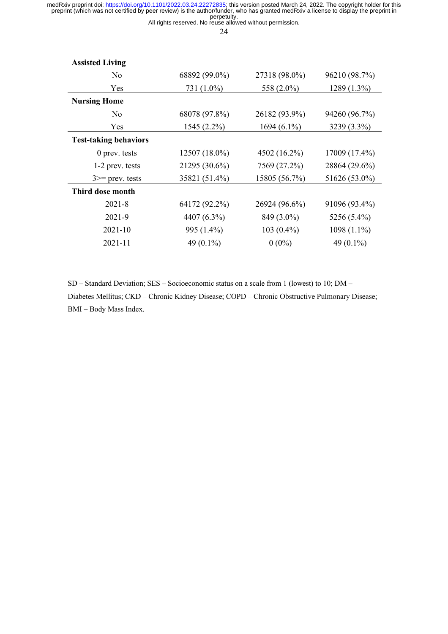All rights reserved. No reuse allowed without permission.

24

| <b>Assisted Living</b>       |               |                |               |
|------------------------------|---------------|----------------|---------------|
| No                           | 68892 (99.0%) | 27318 (98.0%)  | 96210 (98.7%) |
| Yes                          | 731 (1.0%)    | 558 (2.0%)     | 1289 (1.3%)   |
| <b>Nursing Home</b>          |               |                |               |
| No                           | 68078 (97.8%) | 26182 (93.9%)  | 94260 (96.7%) |
| Yes                          | 1545 (2.2%)   | 1694 $(6.1\%)$ | 3239 (3.3%)   |
| <b>Test-taking behaviors</b> |               |                |               |
| $0$ prev. tests              | 12507 (18.0%) | 4502 (16.2%)   | 17009 (17.4%) |
| 1-2 prev. tests              | 21295 (30.6%) | 7569 (27.2%)   | 28864 (29.6%) |
| $3 \ge$ prev. tests          | 35821 (51.4%) | 15805 (56.7%)  | 51626 (53.0%) |
| Third dose month             |               |                |               |
| $2021 - 8$                   | 64172 (92.2%) | 26924 (96.6%)  | 91096 (93.4%) |
| 2021-9                       | 4407 (6.3%)   | 849 (3.0%)     | 5256 (5.4%)   |
| $2021 - 10$                  | 995 (1.4%)    | $103(0.4\%)$   | $1098(1.1\%)$ |
| $2021 - 11$                  | 49 $(0.1\%)$  | $0(0\%)$       | 49 (0.1%)     |

SD – Standard Deviation; SES – Socioeconomic status on a scale from 1 (lowest) to 10; DM – Diabetes Mellitus; CKD – Chronic Kidney Disease; COPD – Chronic Obstructive Pulmonary Disease; BMI – Body Mass Index.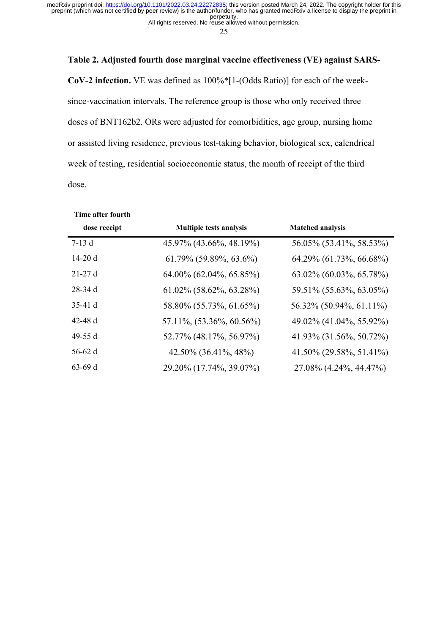All rights reserved. No reuse allowed without permission.

25

## **Table 2. Adjusted fourth dose marginal vaccine effectiveness (VE) against SARS-**

**CoV-2 infection.** VE was defined as 100%\*[1-(Odds Ratio)] for each of the weeksince-vaccination intervals. The reference group is those who only received three doses of BNT162b2. ORs were adjusted for comorbidities, age group, nursing home or assisted living residence, previous test-taking behavior, biological sex, calendrical week of testing, residential socioeconomic status, the month of receipt of the third dose.

| Time after fourth |                                |                                |
|-------------------|--------------------------------|--------------------------------|
| dose receipt      | <b>Multiple tests analysis</b> | <b>Matched analysis</b>        |
| $7-13d$           | 45.97% (43.66%, 48.19%)        | 56.05% (53.41%, 58.53%)        |
| 14-20 d           | $61.79\%$ (59.89%, 63.6%)      | 64.29% (61.73%, 66.68%)        |
| $21-27d$          | 64.00% (62.04%, 65.85%)        | $63.02\%$ $(60.03\%, 65.78\%)$ |
| $28-34d$          | $61.02\%$ (58.62%, 63.28%)     | 59.51% (55.63%, 63.05%)        |
| $35-41d$          | 58.80% (55.73%, 61.65%)        | 56.32% (50.94%, 61.11%)        |
| 42-48 $d$         | 57.11\%, (53.36\%, 60.56\%)    | 49.02% (41.04%, 55.92%)        |
| 49-55 d           | 52.77% (48.17%, 56.97%)        | 41.93% (31.56%, 50.72%)        |
| $56-62$ d         | 42.50% (36.41%, 48%)           | 41.50% (29.58%, 51.41%)        |
| $63-69d$          | 29.20% (17.74%, 39.07%)        | 27.08% (4.24%, 44.47%)         |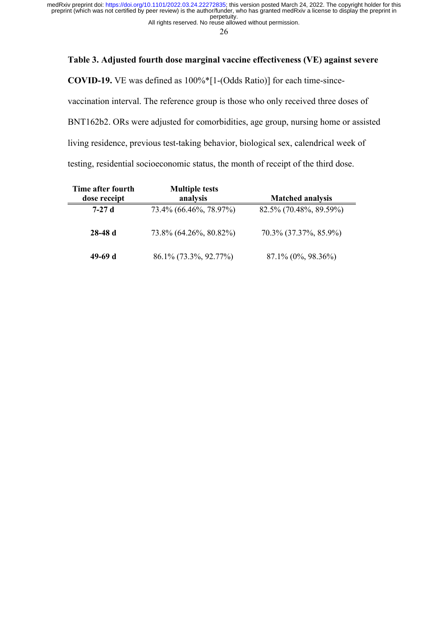All rights reserved. No reuse allowed without permission. perpetuity. preprint (which was not certified by peer review) is the author/funder, who has granted medRxiv a license to display the preprint in medRxiv preprint doi: [https://doi.org/10.1101/2022.03.24.22272835;](https://doi.org/10.1101/2022.03.24.22272835) this version posted March 24, 2022. The copyright holder for this

26

# **Table 3. Adjusted fourth dose marginal vaccine effectiveness (VE) against severe**

**COVID-19.** VE was defined as 100%\*[1-(Odds Ratio)] for each time-since-

vaccination interval. The reference group is those who only received three doses of

BNT162b2. ORs were adjusted for comorbidities, age group, nursing home or assisted

living residence, previous test-taking behavior, biological sex, calendrical week of

testing, residential socioeconomic status, the month of receipt of the third dose.

| Time after fourth<br>dose receipt | <b>Multiple tests</b><br>analysis | <b>Matched analysis</b> |
|-----------------------------------|-----------------------------------|-------------------------|
| $7-27d$                           | 73.4% (66.46%, 78.97%)            | 82.5% (70.48%, 89.59%)  |
| $28-48d$                          | 73.8% (64.26%, 80.82%)            | 70.3% (37.37%, 85.9%)   |
| 49-69 d                           | 86.1% (73.3%, 92.77%)             | 87.1% (0%, 98.36%)      |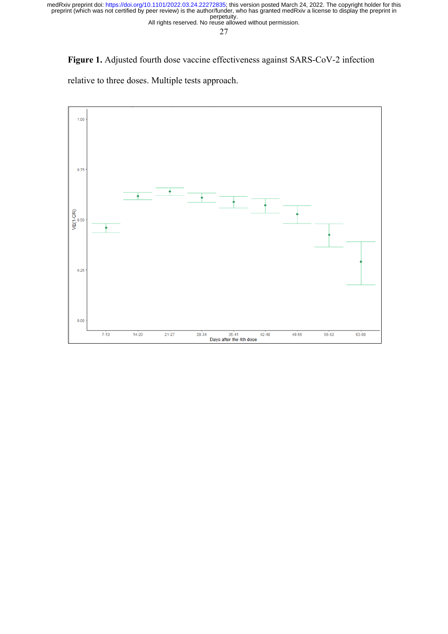All rights reserved. No reuse allowed without permission.

27

**Figure 1.** Adjusted fourth dose vaccine effectiveness against SARS-CoV-2 infection

relative to three doses. Multiple tests approach.

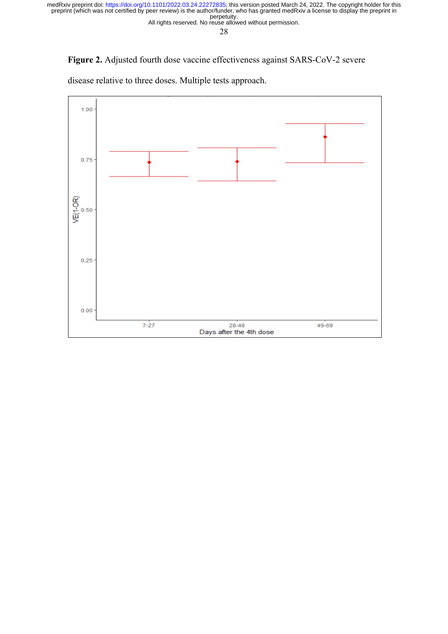All rights reserved. No reuse allowed without permission.

28

**Figure 2.** Adjusted fourth dose vaccine effectiveness against SARS-CoV-2 severe

 $1.00$ 0.75  $VE(1-OR)$ <br> $VE(1-OR)$  $0.25$  $0.00$  $7 - 27$  $28 - 48$  $49 - 69$ Days after the 4th dose

disease relative to three doses. Multiple tests approach.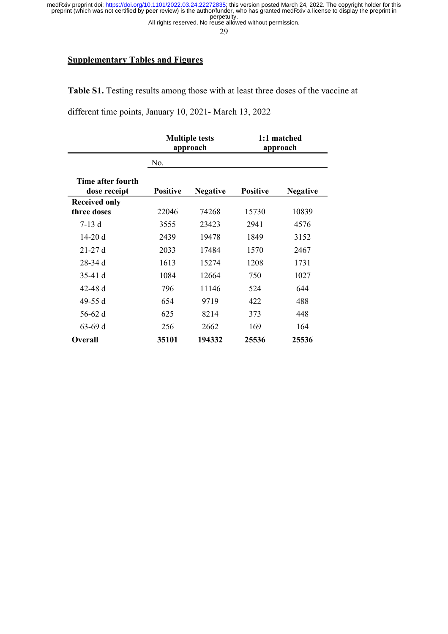All rights reserved. No reuse allowed without permission.

29

## **Supplementary Tables and Figures**

**Table S1.** Testing results among those with at least three doses of the vaccine at

different time points, January 10, 2021- March 13, 2022

|                                     | <b>Multiple tests</b><br>approach |                 |                 | 1:1 matched<br>approach |
|-------------------------------------|-----------------------------------|-----------------|-----------------|-------------------------|
|                                     | No.                               |                 |                 |                         |
| Time after fourth<br>dose receipt   | <b>Positive</b>                   | <b>Negative</b> | <b>Positive</b> | <b>Negative</b>         |
| <b>Received only</b><br>three doses | 22046                             | 74268           | 15730           | 10839                   |
| $7-13d$                             | 3555                              | 23423           | 2941            | 4576                    |
| $14-20d$                            | 2439                              | 19478           | 1849            | 3152                    |
| $21-27d$                            | 2033                              | 17484           | 1570            | 2467                    |
| $28-34d$                            | 1613                              | 15274           | 1208            | 1731                    |
| $35-41d$                            | 1084                              | 12664           | 750             | 1027                    |
| 42-48 $d$                           | 796                               | 11146           | 524             | 644                     |
| 49-55 d                             | 654                               | 9719            | 422             | 488                     |
| 56-62 d                             | 625                               | 8214            | 373             | 448                     |
| $63-69d$                            | 256                               | 2662            | 169             | 164                     |
| <b>Overall</b>                      | 35101                             | 194332          | 25536           | 25536                   |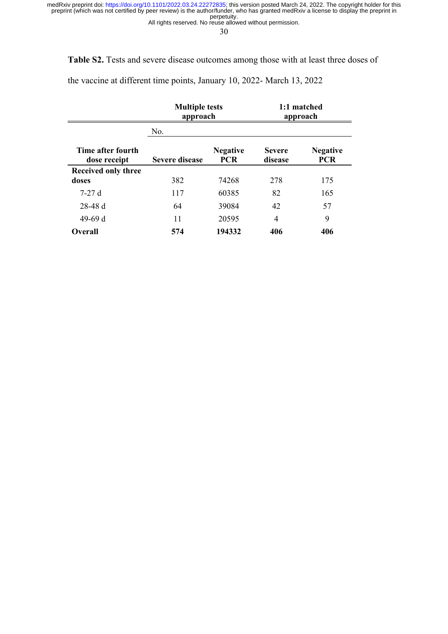All rights reserved. No reuse allowed without permission.

30

**Table S2.** Tests and severe disease outcomes among those with at least three doses of

the vaccine at different time points, January 10, 2022- March 13, 2022

|                                   | <b>Multiple tests</b><br>approach |                               |                          | 1:1 matched<br>approach       |
|-----------------------------------|-----------------------------------|-------------------------------|--------------------------|-------------------------------|
|                                   | No.                               |                               |                          |                               |
| Time after fourth<br>dose receipt | <b>Severe disease</b>             | <b>Negative</b><br><b>PCR</b> | <b>Severe</b><br>disease | <b>Negative</b><br><b>PCR</b> |
| <b>Received only three</b>        |                                   |                               |                          |                               |
| doses                             | 382                               | 74268                         | 278                      | 175                           |
| $7-27d$                           | 117                               | 60385                         | 82                       | 165                           |
| $28-48d$                          | 64                                | 39084                         | 42                       | 57                            |
| 49-69 d                           | 11                                | 20595                         | $\overline{4}$           | 9                             |
| <b>Overall</b>                    | 574                               | 194332                        | 406                      | 406                           |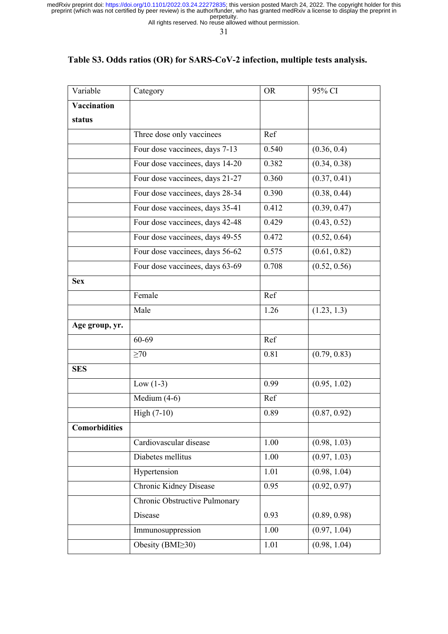All rights reserved. No reuse allowed without permission.

31

# **Table S3. Odds ratios (OR) for SARS-CoV-2 infection, multiple tests analysis.**

| Variable             | Category                        | <b>OR</b> | 95% CI       |
|----------------------|---------------------------------|-----------|--------------|
| Vaccination          |                                 |           |              |
| status               |                                 |           |              |
|                      | Three dose only vaccinees       | Ref       |              |
|                      | Four dose vaccinees, days 7-13  | 0.540     | (0.36, 0.4)  |
|                      | Four dose vaccinees, days 14-20 | 0.382     | (0.34, 0.38) |
|                      | Four dose vaccinees, days 21-27 | 0.360     | (0.37, 0.41) |
|                      | Four dose vaccinees, days 28-34 | 0.390     | (0.38, 0.44) |
|                      | Four dose vaccinees, days 35-41 | 0.412     | (0.39, 0.47) |
|                      | Four dose vaccinees, days 42-48 | 0.429     | (0.43, 0.52) |
|                      | Four dose vaccinees, days 49-55 | 0.472     | (0.52, 0.64) |
|                      | Four dose vaccinees, days 56-62 | 0.575     | (0.61, 0.82) |
|                      | Four dose vaccinees, days 63-69 | 0.708     | (0.52, 0.56) |
| <b>Sex</b>           |                                 |           |              |
|                      | Female                          | Ref       |              |
|                      | Male                            | 1.26      | (1.23, 1.3)  |
| Age group, yr.       |                                 |           |              |
|                      | 60-69                           | Ref       |              |
|                      | $\geq 70$                       | 0.81      | (0.79, 0.83) |
| <b>SES</b>           |                                 |           |              |
|                      | Low $(1-3)$                     | 0.99      | (0.95, 1.02) |
|                      | Medium (4-6)                    | Ref       |              |
|                      | High $(7-10)$                   | 0.89      | (0.87, 0.92) |
| <b>Comorbidities</b> |                                 |           |              |
|                      | Cardiovascular disease          | 1.00      | (0.98, 1.03) |
|                      | Diabetes mellitus               | 1.00      | (0.97, 1.03) |
|                      | Hypertension                    | 1.01      | (0.98, 1.04) |
|                      | Chronic Kidney Disease          | 0.95      | (0.92, 0.97) |
|                      | Chronic Obstructive Pulmonary   |           |              |
|                      | Disease                         | 0.93      | (0.89, 0.98) |
|                      | Immunosuppression               | 1.00      | (0.97, 1.04) |
|                      | Obesity (BMI≥30)                | 1.01      | (0.98, 1.04) |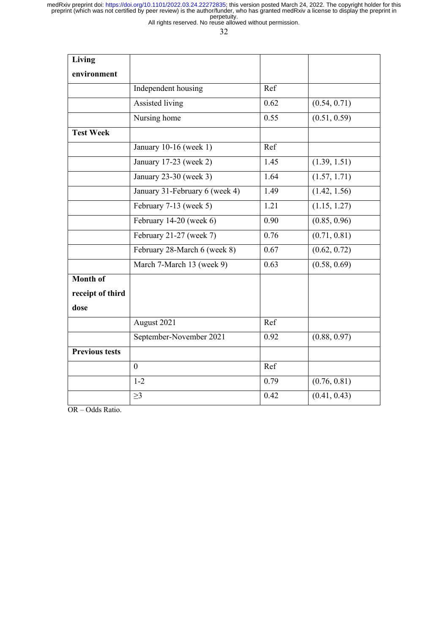All rights reserved. No reuse allowed without permission.

32

| Living                |                                |      |              |
|-----------------------|--------------------------------|------|--------------|
| environment           |                                |      |              |
|                       | Independent housing            | Ref  |              |
|                       | Assisted living                | 0.62 | (0.54, 0.71) |
|                       | Nursing home                   | 0.55 | (0.51, 0.59) |
| <b>Test Week</b>      |                                |      |              |
|                       | January 10-16 (week 1)         | Ref  |              |
|                       | January 17-23 (week 2)         | 1.45 | (1.39, 1.51) |
|                       | January 23-30 (week 3)         | 1.64 | (1.57, 1.71) |
|                       | January 31-February 6 (week 4) | 1.49 | (1.42, 1.56) |
|                       | February 7-13 (week 5)         | 1.21 | (1.15, 1.27) |
|                       | February 14-20 (week $6$ )     | 0.90 | (0.85, 0.96) |
|                       | February 21-27 (week 7)        | 0.76 | (0.71, 0.81) |
|                       | February 28-March 6 (week 8)   | 0.67 | (0.62, 0.72) |
|                       | March 7-March 13 (week 9)      | 0.63 | (0.58, 0.69) |
| Month of              |                                |      |              |
| receipt of third      |                                |      |              |
| dose                  |                                |      |              |
|                       | August 2021                    | Ref  |              |
|                       | September-November 2021        | 0.92 | (0.88, 0.97) |
| <b>Previous tests</b> |                                |      |              |
|                       | $\theta$                       | Ref  |              |
|                       | $1 - 2$                        | 0.79 | (0.76, 0.81) |
|                       | $\geq$ 3                       | 0.42 | (0.41, 0.43) |

OR – Odds Ratio.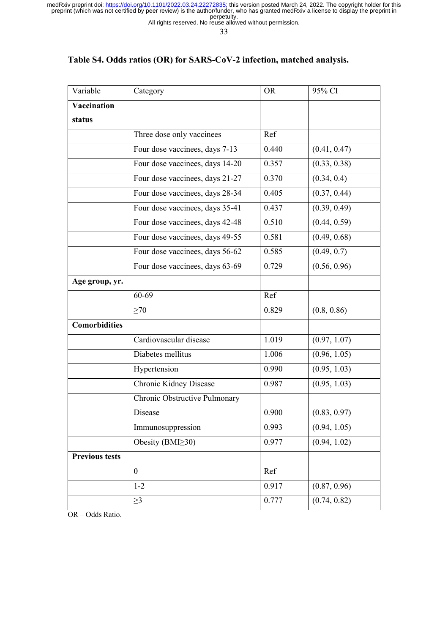All rights reserved. No reuse allowed without permission.

33

# **Table S4. Odds ratios (OR) for SARS-CoV-2 infection, matched analysis.**

| Variable              | Category                        | <b>OR</b> | 95% CI       |
|-----------------------|---------------------------------|-----------|--------------|
| Vaccination           |                                 |           |              |
| status                |                                 |           |              |
|                       | Three dose only vaccinees       | Ref       |              |
|                       | Four dose vaccinees, days 7-13  | 0.440     | (0.41, 0.47) |
|                       | Four dose vaccinees, days 14-20 | 0.357     | (0.33, 0.38) |
|                       | Four dose vaccinees, days 21-27 | 0.370     | (0.34, 0.4)  |
|                       | Four dose vaccinees, days 28-34 | 0.405     | (0.37, 0.44) |
|                       | Four dose vaccinees, days 35-41 | 0.437     | (0.39, 0.49) |
|                       | Four dose vaccinees, days 42-48 | 0.510     | (0.44, 0.59) |
|                       | Four dose vaccinees, days 49-55 | 0.581     | (0.49, 0.68) |
|                       | Four dose vaccinees, days 56-62 | 0.585     | (0.49, 0.7)  |
|                       | Four dose vaccinees, days 63-69 | 0.729     | (0.56, 0.96) |
| Age group, yr.        |                                 |           |              |
|                       | 60-69                           | Ref       |              |
|                       | $\geq 70$                       | 0.829     | (0.8, 0.86)  |
| <b>Comorbidities</b>  |                                 |           |              |
|                       | Cardiovascular disease          | 1.019     | (0.97, 1.07) |
|                       | Diabetes mellitus               | 1.006     | (0.96, 1.05) |
|                       | Hypertension                    | 0.990     | (0.95, 1.03) |
|                       | Chronic Kidney Disease          | 0.987     | (0.95, 1.03) |
|                       | Chronic Obstructive Pulmonary   |           |              |
|                       | Disease                         | 0.900     | (0.83, 0.97) |
|                       | Immunosuppression               | 0.993     | (0.94, 1.05) |
|                       | Obesity (BMI≥30)                | 0.977     | (0.94, 1.02) |
| <b>Previous tests</b> |                                 |           |              |
|                       | $\boldsymbol{0}$                | Ref       |              |
|                       | $1 - 2$                         | 0.917     | (0.87, 0.96) |
|                       | $\geq$ 3                        | 0.777     | (0.74, 0.82) |

OR – Odds Ratio.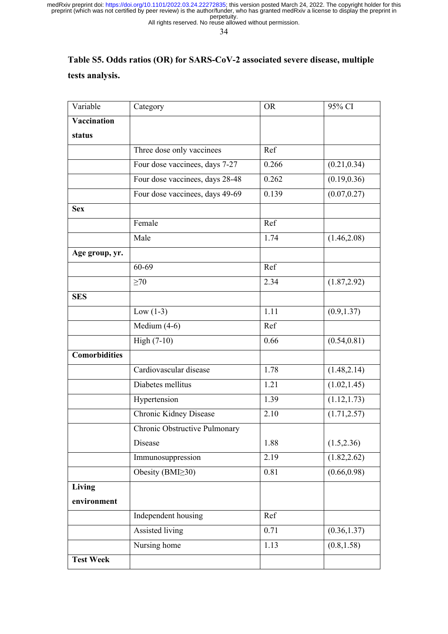All rights reserved. No reuse allowed without permission.

34

# **Table S5. Odds ratios (OR) for SARS-CoV-2 associated severe disease, multiple tests analysis.**

| Variable             | Category                        | <b>OR</b> | 95% CI       |
|----------------------|---------------------------------|-----------|--------------|
| Vaccination          |                                 |           |              |
| status               |                                 |           |              |
|                      | Three dose only vaccinees       | Ref       |              |
|                      | Four dose vaccinees, days 7-27  | 0.266     | (0.21, 0.34) |
|                      | Four dose vaccinees, days 28-48 | 0.262     | (0.19, 0.36) |
|                      | Four dose vaccinees, days 49-69 | 0.139     | (0.07, 0.27) |
| <b>Sex</b>           |                                 |           |              |
|                      | Female                          | Ref       |              |
|                      | Male                            | 1.74      | (1.46, 2.08) |
| Age group, yr.       |                                 |           |              |
|                      | 60-69                           | Ref       |              |
|                      | $\geq 70$                       | 2.34      | (1.87, 2.92) |
| <b>SES</b>           |                                 |           |              |
|                      | Low $(1-3)$                     | 1.11      | (0.9, 1.37)  |
|                      | Medium $(4-6)$                  | Ref       |              |
|                      | High (7-10)                     | 0.66      | (0.54, 0.81) |
| <b>Comorbidities</b> |                                 |           |              |
|                      | Cardiovascular disease          | 1.78      | (1.48, 2.14) |
|                      | Diabetes mellitus               | 1.21      | (1.02, 1.45) |
|                      | Hypertension                    | 1.39      | (1.12, 1.73) |
|                      | Chronic Kidney Disease          | 2.10      | (1.71, 2.57) |
|                      | Chronic Obstructive Pulmonary   |           |              |
|                      | Disease                         | 1.88      | (1.5, 2.36)  |
|                      | Immunosuppression               | 2.19      | (1.82, 2.62) |
|                      | Obesity (BMI $\geq$ 30)         | 0.81      | (0.66, 0.98) |
| <b>Living</b>        |                                 |           |              |
| environment          |                                 |           |              |
|                      | Independent housing             | Ref       |              |
|                      | Assisted living                 | 0.71      | (0.36, 1.37) |
|                      | Nursing home                    | 1.13      | (0.8, 1.58)  |
| <b>Test Week</b>     |                                 |           |              |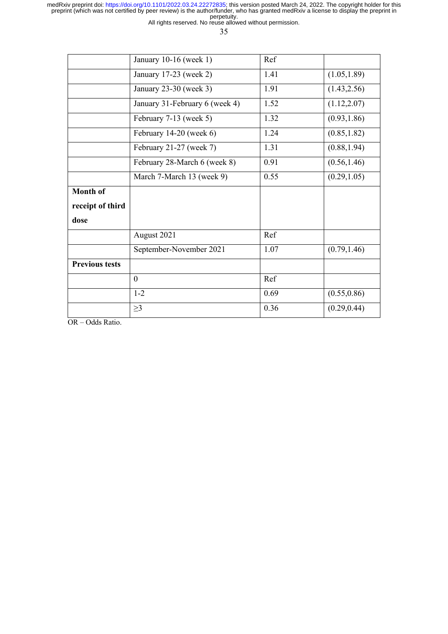All rights reserved. No reuse allowed without permission.

35

|                       | January 10-16 (week 1)         | Ref  |              |
|-----------------------|--------------------------------|------|--------------|
|                       | January 17-23 (week 2)         | 1.41 | (1.05, 1.89) |
|                       | January 23-30 (week 3)         | 1.91 | (1.43, 2.56) |
|                       | January 31-February 6 (week 4) | 1.52 | (1.12, 2.07) |
|                       | February 7-13 (week 5)         | 1.32 | (0.93, 1.86) |
|                       | February 14-20 (week 6)        | 1.24 | (0.85, 1.82) |
|                       | February 21-27 (week 7)        | 1.31 | (0.88, 1.94) |
|                       | February 28-March 6 (week 8)   | 0.91 | (0.56, 1.46) |
|                       | March 7-March 13 (week 9)      | 0.55 | (0.29, 1.05) |
| <b>Month of</b>       |                                |      |              |
| receipt of third      |                                |      |              |
| dose                  |                                |      |              |
|                       | August 2021                    | Ref  |              |
|                       | September-November 2021        | 1.07 | (0.79, 1.46) |
| <b>Previous tests</b> |                                |      |              |
|                       | $\mathbf{0}$                   | Ref  |              |
|                       | $1 - 2$                        | 0.69 | (0.55, 0.86) |
|                       | $\geq$ 3                       | 0.36 | (0.29, 0.44) |

OR – Odds Ratio.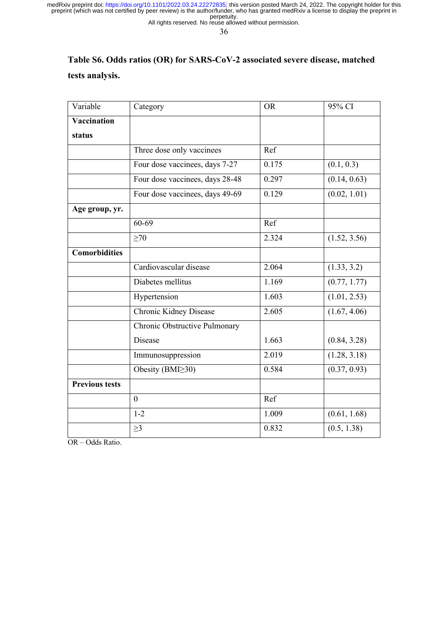All rights reserved. No reuse allowed without permission.

36

# **Table S6. Odds ratios (OR) for SARS-CoV-2 associated severe disease, matched tests analysis.**

| Variable              | Category                        | <b>OR</b> | 95% CI       |
|-----------------------|---------------------------------|-----------|--------------|
| Vaccination           |                                 |           |              |
| status                |                                 |           |              |
|                       | Three dose only vaccinees       | Ref       |              |
|                       | Four dose vaccinees, days 7-27  | 0.175     | (0.1, 0.3)   |
|                       | Four dose vaccinees, days 28-48 | 0.297     | (0.14, 0.63) |
|                       | Four dose vaccinees, days 49-69 | 0.129     | (0.02, 1.01) |
| Age group, yr.        |                                 |           |              |
|                       | 60-69                           | Ref       |              |
|                       | $\geq 70$                       | 2.324     | (1.52, 3.56) |
| <b>Comorbidities</b>  |                                 |           |              |
|                       | Cardiovascular disease          | 2.064     | (1.33, 3.2)  |
|                       | Diabetes mellitus               | 1.169     | (0.77, 1.77) |
|                       | Hypertension                    | 1.603     | (1.01, 2.53) |
|                       | Chronic Kidney Disease          | 2.605     | (1.67, 4.06) |
|                       | Chronic Obstructive Pulmonary   |           |              |
|                       | Disease                         | 1.663     | (0.84, 3.28) |
|                       | Immunosuppression               | 2.019     | (1.28, 3.18) |
|                       | Obesity (BMI≥30)                | 0.584     | (0.37, 0.93) |
| <b>Previous tests</b> |                                 |           |              |
|                       | $\mathbf{0}$                    | Ref       |              |
|                       | $1 - 2$                         | 1.009     | (0.61, 1.68) |
|                       | $\geq$ 3                        | 0.832     | (0.5, 1.38)  |

OR – Odds Ratio.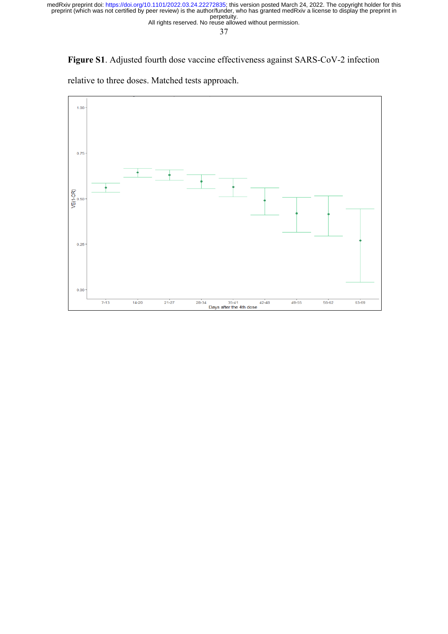All rights reserved. No reuse allowed without permission.

37

**Figure S1**. Adjusted fourth dose vaccine effectiveness against SARS-CoV-2 infection

relative to three doses. Matched tests approach.